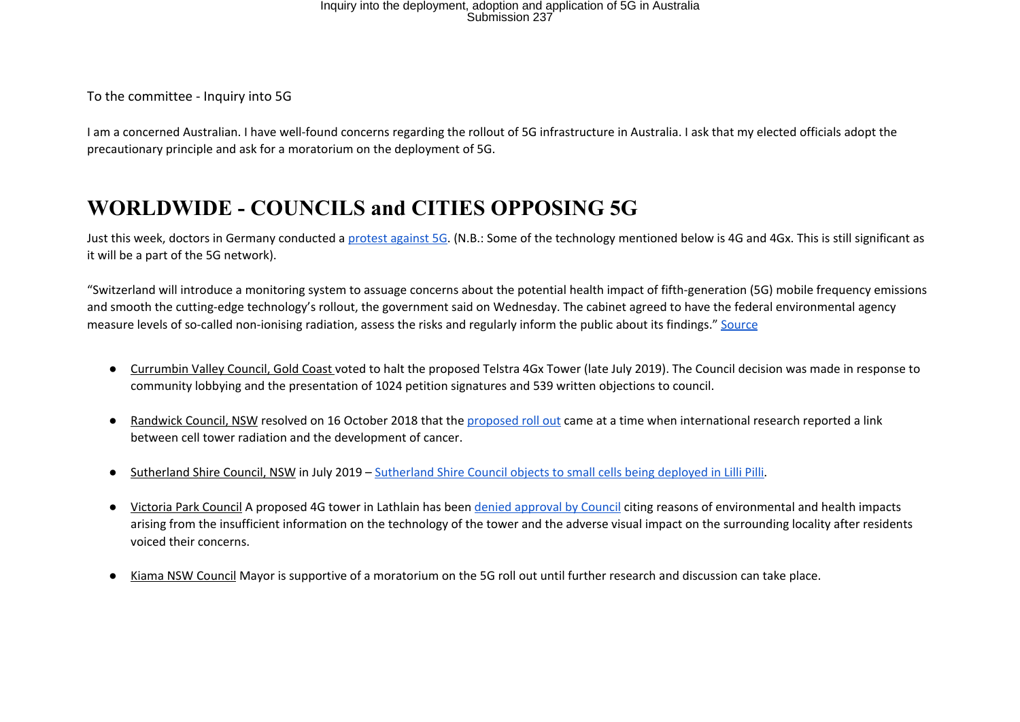To the committee - Inquiry into 5G

I am a concerned Australian. I have well-found concerns regarding the rollout of 5G infrastructure in Australia. I ask that my elected officials adopt the precautionary principle and ask for a moratorium on the deployment of 5G.

### **WORLDWIDE - COUNCILS and CITIES OPPOSING 5G**

Just this week, doctors in Germany conducted a protest against 5G. (N.B.: Some of the technology mentioned below is 4G and 4Gx. This is still significant as it will be a part of the 5G network).

"Switzerland will introduce a monitoring system to assuage concerns about the potential health impact of fifth-generation (5G) mobile frequency emissions and smooth the cutting-edge technology's rollout, the government said on Wednesday. The cabinet agreed to have the federal environmental agency measure levels of so-called non-ionising radiation, assess the risks and regularly inform the public about its findings." Source

- Currumbin Valley Council, Gold Coast voted to halt the proposed Telstra 4Gx Tower (late July 2019). The Council decision was made in response to community lobbying and the presentation of 1024 petition signatures and 539 written objections to council.
- Randwick Council, NSW resolved on 16 October 2018 that the proposed roll out came at a time when international research reported a link between cell tower radiation and the development of cancer.
- Sutherland Shire Council, NSW in July 2019 Sutherland Shire Council objects to small cells being deployed in Lilli Pilli.
- Victoria Park Council A proposed 4G tower in Lathlain has been denied approval by Council citing reasons of environmental and health impacts arising from the insufficient information on the technology of the tower and the adverse visual impact on the surrounding locality after residents voiced their concerns.
- Kiama NSW Council Mayor is supportive of a moratorium on the 5G roll out until further research and discussion can take place.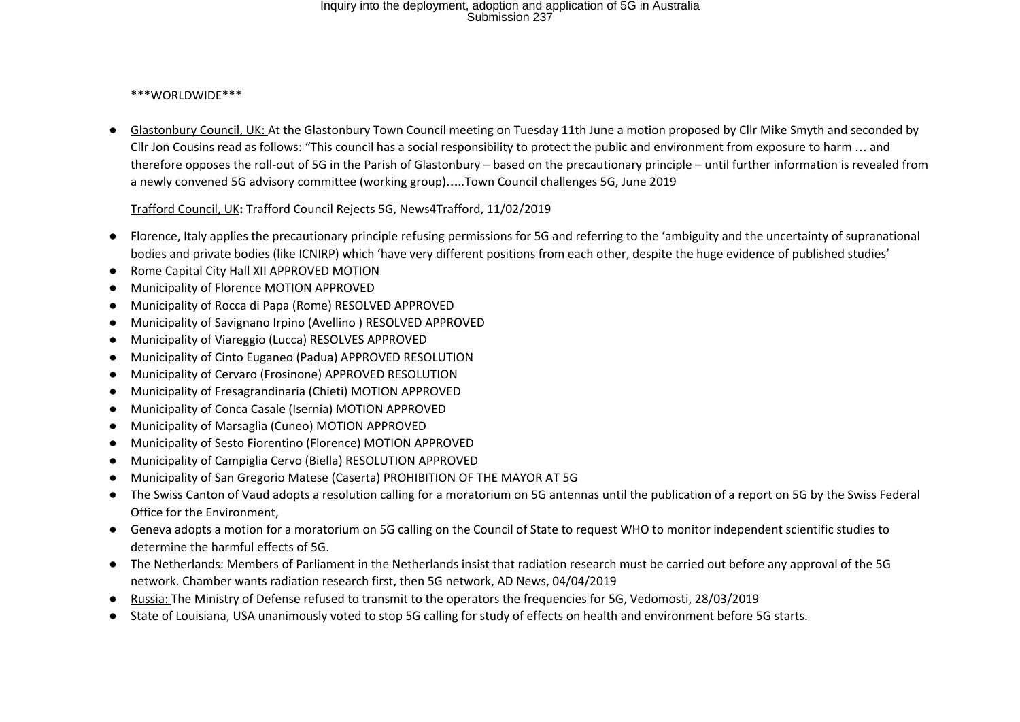### \*\*\*WORLDWIDE\*\*\*

● Glastonbury Council, UK: At the Glastonbury Town Council meeting on Tuesday 11th June a motion proposed by Cllr Mike Smyth and seconded by Cllr Jon Cousins read as follows: "This council has a social responsibility to protect the public and environment from exposure to harm … and therefore opposes the roll-out of 5G in the Parish of Glastonbury – based on the precautionary principle – until further information is revealed from a newly convened 5G advisory committee (working group)…..Town Council challenges 5G, June 2019

Trafford Council, UK**:** Trafford Council Rejects 5G, News4Trafford, 11/02/2019

- Florence, Italy applies the precautionary principle refusing permissions for 5G and referring to the 'ambiguity and the uncertainty of supranational bodies and private bodies (like ICNIRP) which 'have very different positions from each other, despite the huge evidence of published studies'
- Rome Capital City Hall XII APPROVED MOTION
- Municipality of Florence MOTION APPROVED
- Municipality of Rocca di Papa (Rome) RESOLVED APPROVED
- Municipality of Savignano Irpino (Avellino ) RESOLVED APPROVED
- Municipality of Viareggio (Lucca) RESOLVES APPROVED
- Municipality of Cinto Euganeo (Padua) APPROVED RESOLUTION
- Municipality of Cervaro (Frosinone) APPROVED RESOLUTION
- Municipality of Fresagrandinaria (Chieti) MOTION APPROVED
- Municipality of Conca Casale (Isernia) MOTION APPROVED
- Municipality of Marsaglia (Cuneo) MOTION APPROVED
- Municipality of Sesto Fiorentino (Florence) MOTION APPROVED
- Municipality of Campiglia Cervo (Biella) RESOLUTION APPROVED
- Municipality of San Gregorio Matese (Caserta) PROHIBITION OF THE MAYOR AT 5G
- The Swiss Canton of Vaud adopts a resolution calling for a moratorium on 5G antennas until the publication of a report on 5G by the Swiss Federal Office for the Environment,
- Geneva adopts a motion for a moratorium on 5G calling on the Council of State to request WHO to monitor independent scientific studies to determine the harmful effects of 5G.
- The Netherlands: Members of Parliament in the Netherlands insist that radiation research must be carried out before any approval of the 5G network. Chamber wants radiation research first, then 5G network, AD News, 04/04/2019
- Russia: The Ministry of Defense refused to transmit to the operators the frequencies for 5G, Vedomosti, 28/03/2019
- State of Louisiana, USA unanimously voted to stop 5G calling for study of effects on health and environment before 5G starts.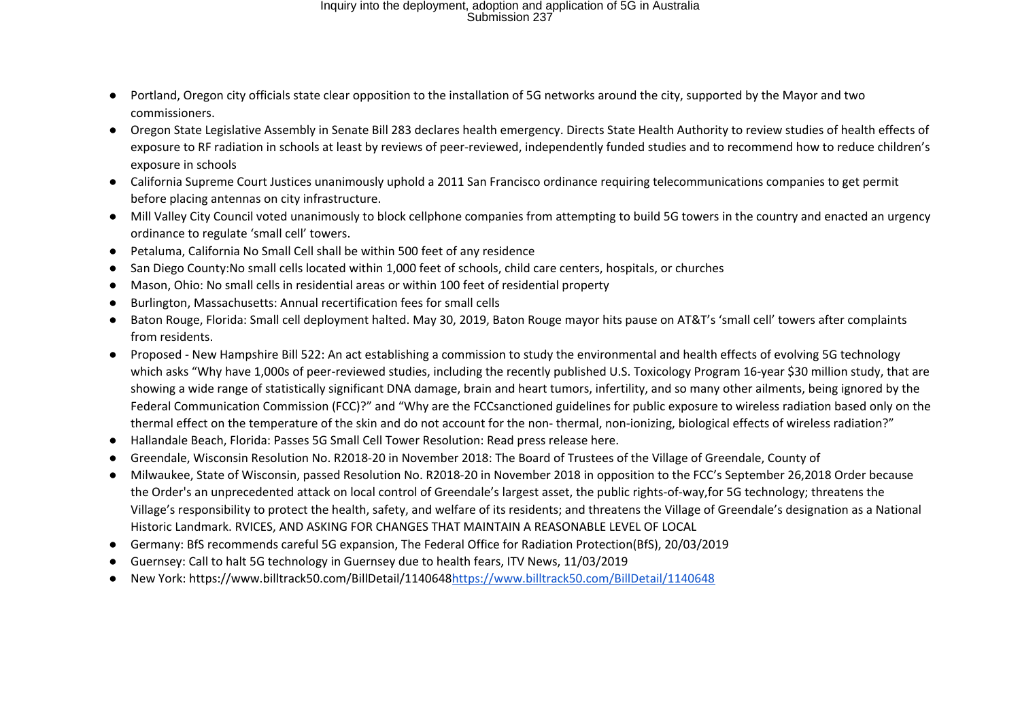- Portland, Oregon city officials state clear opposition to the installation of 5G networks around the city, supported by the Mayor and two commissioners.
- Oregon State Legislative Assembly in Senate Bill 283 declares health emergency. Directs State Health Authority to review studies of health effects of exposure to RF radiation in schools at least by reviews of peer-reviewed, independently funded studies and to recommend how to reduce children's exposure in schools
- California Supreme Court Justices unanimously uphold a 2011 San Francisco ordinance requiring telecommunications companies to get permit before placing antennas on city infrastructure.
- Mill Valley City Council voted unanimously to block cellphone companies from attempting to build 5G towers in the country and enacted an urgency ordinance to regulate 'small cell' towers.
- Petaluma, California No Small Cell shall be within 500 feet of any residence
- San Diego County:No small cells located within 1,000 feet of schools, child care centers, hospitals, or churches
- Mason, Ohio: No small cells in residential areas or within 100 feet of residential property
- Burlington, Massachusetts: Annual recertification fees for small cells
- Baton Rouge, Florida: Small cell deployment halted. May 30, 2019, Baton Rouge mayor hits pause on AT&T's 'small cell' towers after complaints from residents.
- Proposed New Hampshire Bill 522: An act establishing a commission to study the environmental and health effects of evolving 5G technology which asks "Why have 1,000s of peer-reviewed studies, including the recently published U.S. Toxicology Program 16-year \$30 million study, that are showing a wide range of statistically significant DNA damage, brain and heart tumors, infertility, and so many other ailments, being ignored by the Federal Communication Commission (FCC)?" and "Why are the FCCsanctioned guidelines for public exposure to wireless radiation based only on the thermal effect on the temperature of the skin and do not account for the non- thermal, non-ionizing, biological effects of wireless radiation?"
- Hallandale Beach, Florida: Passes 5G Small Cell Tower Resolution: Read press release here.
- Greendale, Wisconsin Resolution No. R2018-20 in November 2018: The Board of Trustees of the Village of Greendale, County of
- Milwaukee, State of Wisconsin, passed Resolution No. R2018-20 in November 2018 in opposition to the FCC's September 26,2018 Order because the Order's an unprecedented attack on local control of Greendale's largest asset, the public rights-of-way,for 5G technology; threatens the Village's responsibility to protect the health, safety, and welfare of its residents; and threatens the Village of Greendale's designation as a National Historic Landmark. RVICES, AND ASKING FOR CHANGES THAT MAINTAIN A REASONABLE LEVEL OF LOCAL
- Germany: BfS recommends careful 5G expansion, The Federal Office for Radiation Protection(BfS), 20/03/2019
- Guernsey: Call to halt 5G technology in Guernsey due to health fears, ITV News, 11/03/2019
- New York: https://www.billtrack50.com/BillDetail/1140648https://www.billtrack50.com/BillDetail/1140648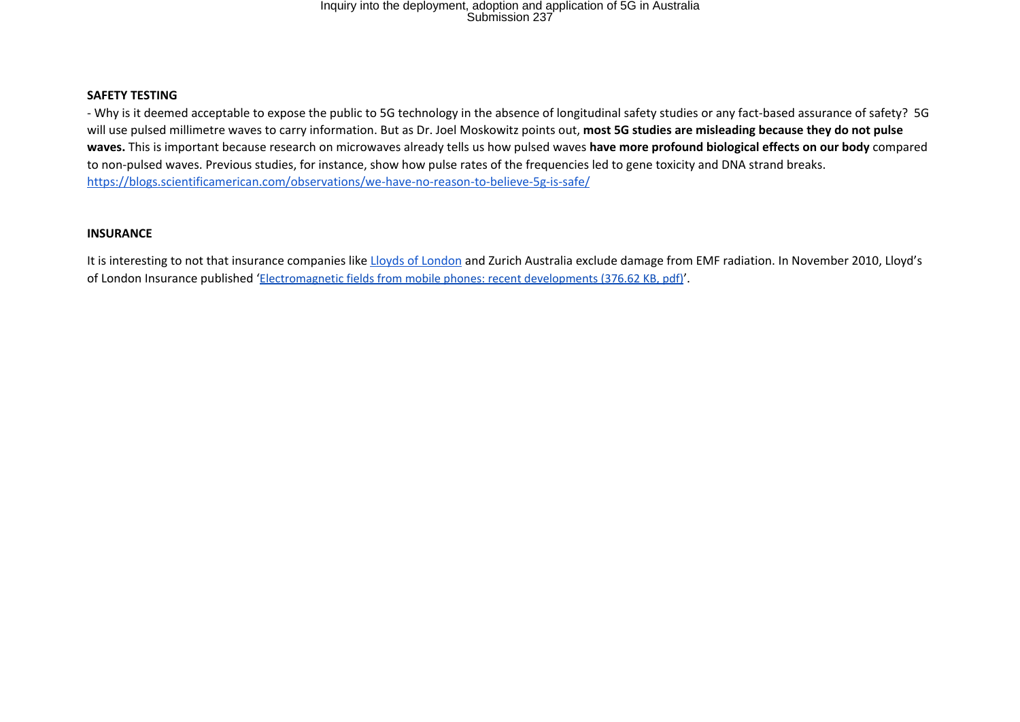#### **SAFETY TESTING**

- Why is it deemed acceptable to expose the public to 5G technology in the absence of longitudinal safety studies or any fact-based assurance of safety? 5G will use pulsed millimetre waves to carry information. But as Dr. Joel Moskowitz points out, **most 5G studies are misleading because they do not pulse waves.** This is important because research on microwaves already tells us how pulsed waves **have more profound biological effects on our body** compared to non-pulsed waves. Previous studies, for instance, show how pulse rates of the frequencies led to gene toxicity and DNA strand breaks. https://blogs.scientificamerican.com/observations/we-have-no-reason-to-believe-5g-is-safe/

### **INSURANCE**

It is interesting to not that insurance companies like Lloyds of London and Zurich Australia exclude damage from EMF radiation. In November 2010, Lloyd's of London Insurance published 'Electromagnetic fields from mobile phones: recent developments (376.62 KB, pdf)'.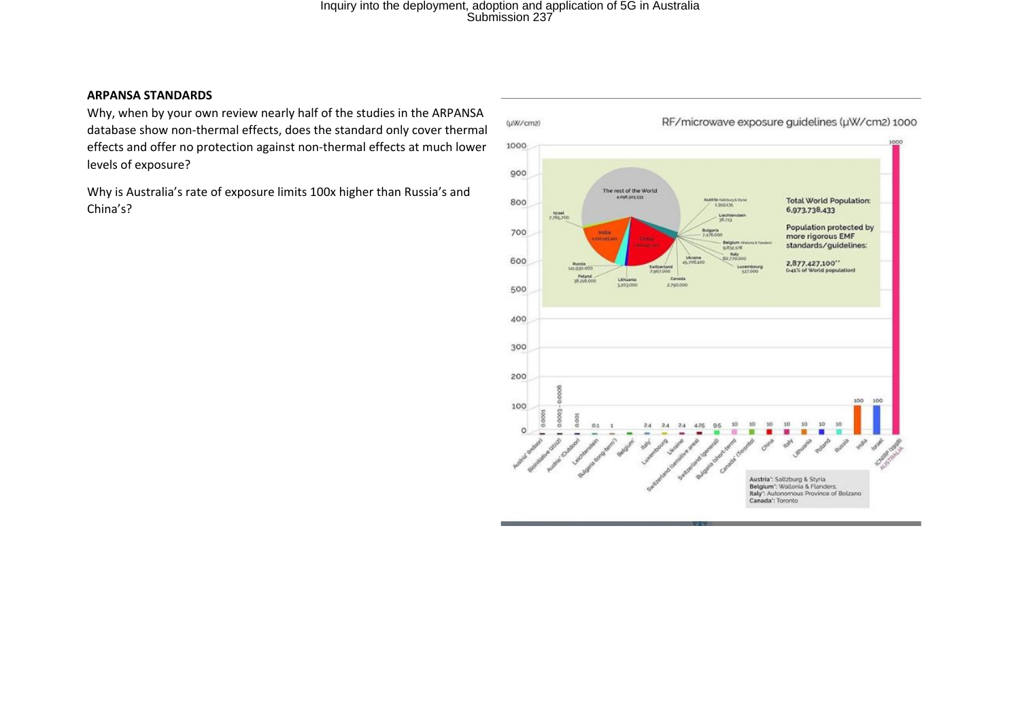#### **ARPANSA STANDARDS**

Why, when by your own review nearly half of the studies in the ARPANSA database show non-thermal effects, does the standard only cover thermal effects and offer no protection against non-thermal effects at much lower levels of exposure?

Why is Australia's rate of exposure limits 100x higher than Russia's and China's?

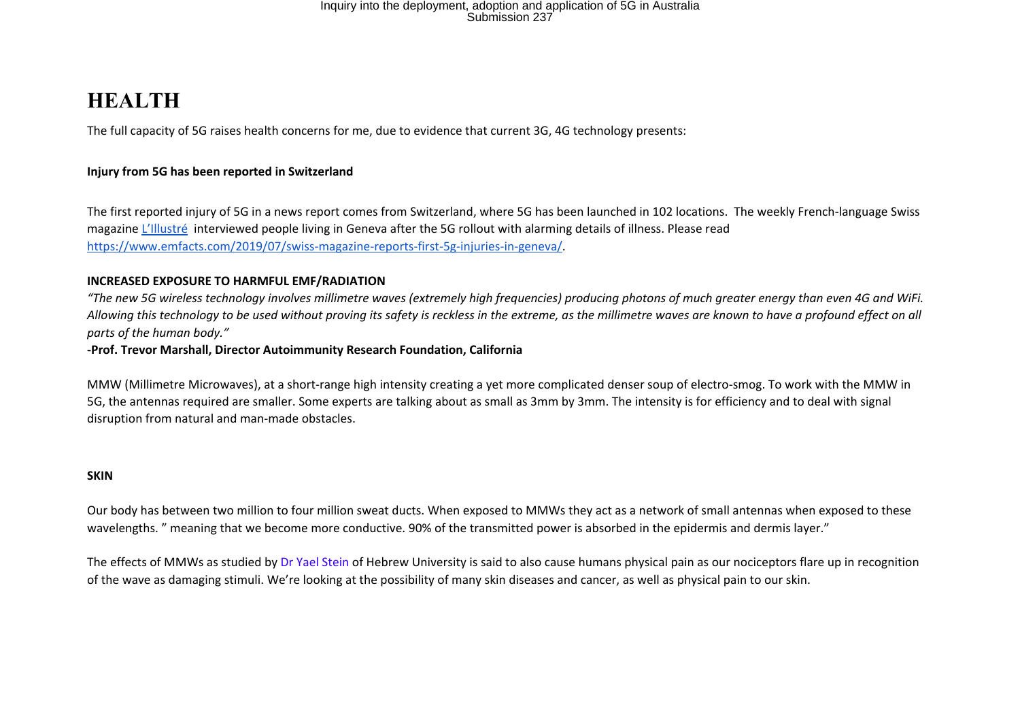### **HEALTH**

The full capacity of 5G raises health concerns for me, due to evidence that current 3G, 4G technology presents:

### **Injury from 5G has been reported in Switzerland**

The first reported injury of 5G in a news report comes from Switzerland, where 5G has been launched in 102 locations. The weekly French-language Swiss magazine L'Illustré interviewed people living in Geneva after the 5G rollout with alarming details of illness. Please read https://www.emfacts.com/2019/07/swiss-magazine-reports-first-5g-injuries-in-geneva/.

#### **INCREASED EXPOSURE TO HARMFUL EMF/RADIATION**

*"The new 5G wireless technology involves millimetre waves (extremely high frequencies) producing photons of much greater energy than even 4G and WiFi. Allowing this technology to be used without proving its safety is reckless in the extreme, as the millimetre waves are known to have a profound effect on all parts of the human body."*

### **-Prof. Trevor Marshall, Director Autoimmunity Research Foundation, California**

MMW (Millimetre Microwaves), at a short-range high intensity creating a yet more complicated denser soup of electro-smog. To work with the MMW in 5G, the antennas required are smaller. Some experts are talking about as small as 3mm by 3mm. The intensity is for efficiency and to deal with signal disruption from natural and man-made obstacles.

#### **SKIN**

Our body has between two million to four million sweat ducts. When exposed to MMWs they act as a network of small antennas when exposed to these wavelengths. " meaning that we become more conductive. 90% of the transmitted power is absorbed in the epidermis and dermis layer."

The effects of MMWs as studied by Dr Yael Stein of Hebrew University is said to also cause humans physical pain as our nociceptors flare up in recognition of the wave as damaging stimuli. We're looking at the possibility of many skin diseases and cancer, as well as physical pain to our skin.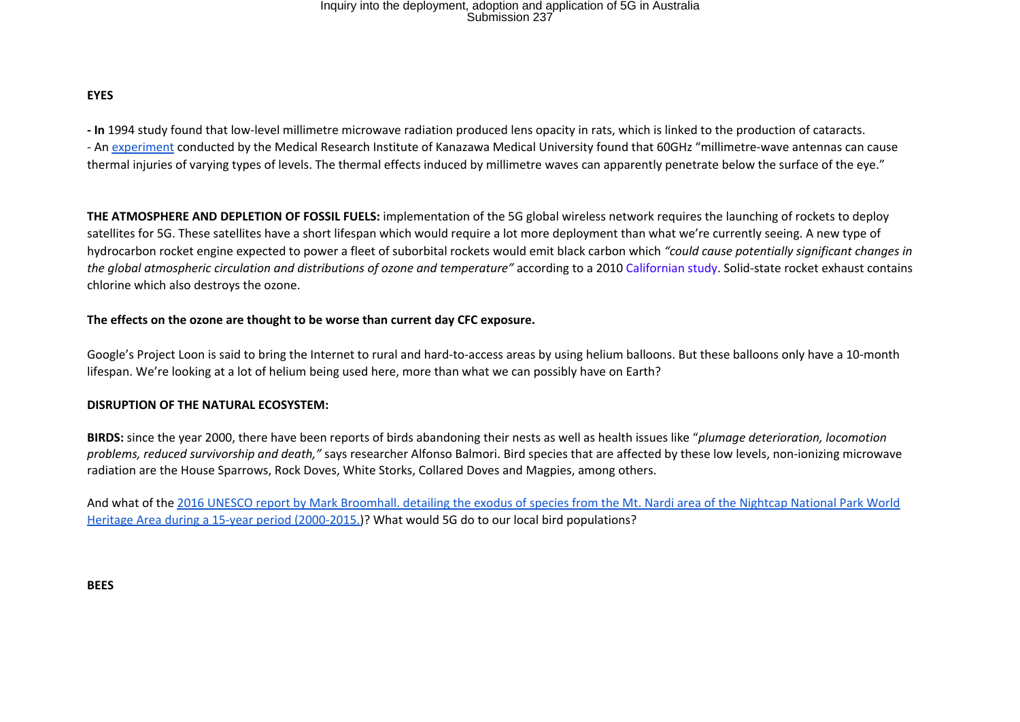### **EYES**

**- In** 1994 study found that low-level millimetre microwave radiation produced lens opacity in rats, which is linked to the production of cataracts. - An experiment conducted by the Medical Research Institute of Kanazawa Medical University found that 60GHz "millimetre-wave antennas can cause thermal injuries of varying types of levels. The thermal effects induced by millimetre waves can apparently penetrate below the surface of the eye."

**THE ATMOSPHERE AND DEPLETION OF FOSSIL FUELS:** implementation of the 5G global wireless network requires the launching of rockets to deploy satellites for 5G. These satellites have a short lifespan which would require a lot more deployment than what we're currently seeing. A new type of hydrocarbon rocket engine expected to power a fleet of suborbital rockets would emit black carbon which *"could cause potentially significant changes in the global atmospheric circulation and distributions of ozone and temperature"* according to a 2010 Californian study. Solid-state rocket exhaust contains chlorine which also destroys the ozone.

#### **The effects on the ozone are thought to be worse than current day CFC exposure.**

Google's Project Loon is said to bring the Internet to rural and hard-to-access areas by using helium balloons. But these balloons only have a 10-month lifespan. We're looking at a lot of helium being used here, more than what we can possibly have on Earth?

#### **DISRUPTION OF THE NATURAL ECOSYSTEM:**

**BIRDS:** since the year 2000, there have been reports of birds abandoning their nests as well as health issues like "*plumage deterioration, locomotion problems, reduced survivorship and death,"* says researcher Alfonso Balmori. Bird species that are affected by these low levels, non-ionizing microwave radiation are the House Sparrows, Rock Doves, White Storks, Collared Doves and Magpies, among others.

And what of the 2016 UNESCO report by Mark Broomhall. detailing the exodus of species from the Mt. Nardi area of the Nightcap National Park World Heritage Area during a 15-year period (2000-2015.)? What would 5G do to our local bird populations?

**BEES**